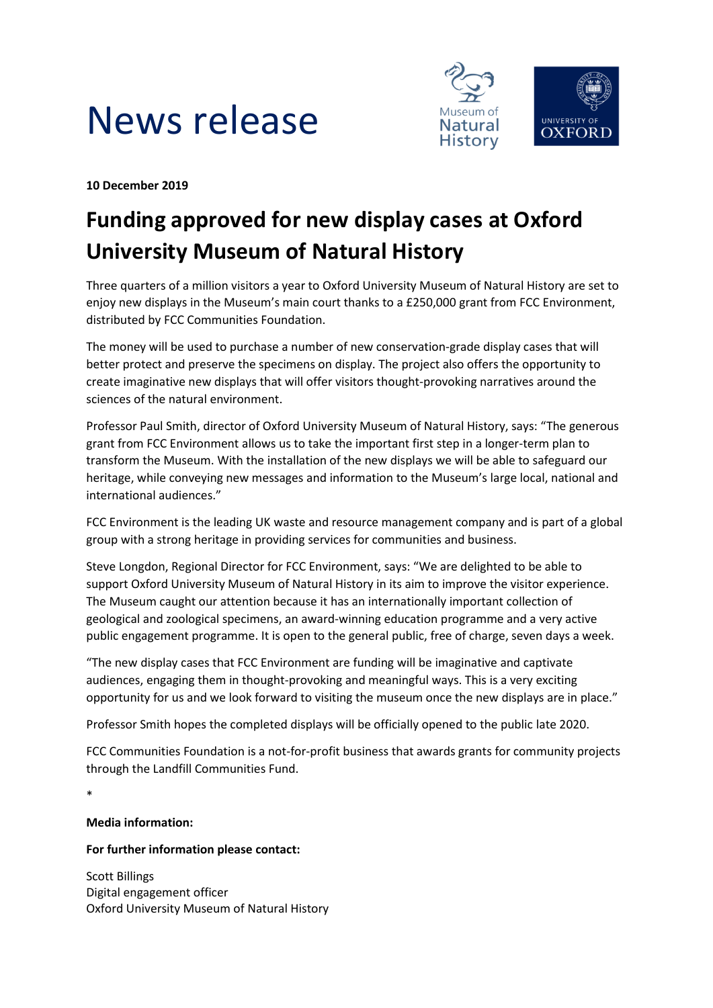



**10 December 2019**

# **Funding approved for new display cases at Oxford University Museum of Natural History**

Three quarters of a million visitors a year to Oxford University Museum of Natural History are set to enjoy new displays in the Museum's main court thanks to a £250,000 grant from FCC Environment, distributed by FCC Communities Foundation.

The money will be used to purchase a number of new conservation-grade display cases that will better protect and preserve the specimens on display. The project also offers the opportunity to create imaginative new displays that will offer visitors thought-provoking narratives around the sciences of the natural environment.

Professor Paul Smith, director of Oxford University Museum of Natural History, says: "The generous grant from FCC Environment allows us to take the important first step in a longer-term plan to transform the Museum. With the installation of the new displays we will be able to safeguard our heritage, while conveying new messages and information to the Museum's large local, national and international audiences."

FCC Environment is the leading UK waste and resource management company and is part of a global group with a strong heritage in providing services for communities and business.

Steve Longdon, Regional Director for FCC Environment, says: "We are delighted to be able to support Oxford University Museum of Natural History in its aim to improve the visitor experience. The Museum caught our attention because it has an internationally important collection of geological and zoological specimens, an award-winning education programme and a very active public engagement programme. It is open to the general public, free of charge, seven days a week.

"The new display cases that FCC Environment are funding will be imaginative and captivate audiences, engaging them in thought-provoking and meaningful ways. This is a very exciting opportunity for us and we look forward to visiting the museum once the new displays are in place."

Professor Smith hopes the completed displays will be officially opened to the public late 2020.

FCC Communities Foundation is a not-for-profit business that awards grants for community projects through the Landfill Communities Fund.

\*

# **Media information:**

# **For further information please contact:**

Scott Billings Digital engagement officer Oxford University Museum of Natural History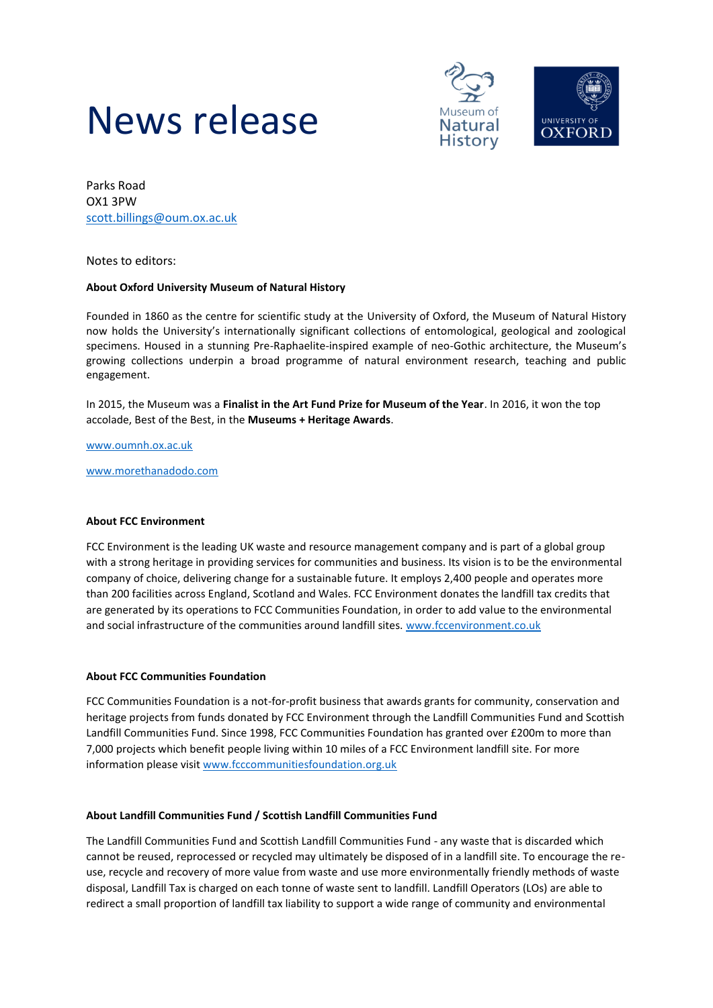



Parks Road OX1 3PW [scott.billings@oum.ox.ac.uk](mailto:scott.billings@oum.ox.ac.uk)

Notes to editors:

## **About Oxford University Museum of Natural History**

Founded in 1860 as the centre for scientific study at the University of Oxford, the Museum of Natural History now holds the University's internationally significant collections of entomological, geological and zoological specimens. Housed in a stunning Pre-Raphaelite-inspired example of neo-Gothic architecture, the Museum's growing collections underpin a broad programme of natural environment research, teaching and public engagement.

In 2015, the Museum was a **Finalist in the Art Fund Prize for Museum of the Year**. In 2016, it won the top accolade, Best of the Best, in the **Museums + Heritage Awards**.

[www.oumnh.ox.ac.uk](http://www.oumnh.ox.ac.uk/)

[www.morethanadodo.com](http://www.morethanadodo.com/)

#### **About FCC Environment**

FCC Environment is the leading UK waste and resource management company and is part of a global group with a strong heritage in providing services for communities and business. Its vision is to be the environmental company of choice, delivering change for a sustainable future. It employs 2,400 people and operates more than 200 facilities across England, Scotland and Wales. FCC Environment donates the landfill tax credits that are generated by its operations to FCC Communities Foundation, in order to add value to the environmental and social infrastructure of the communities around landfill sites. www.fccenvironment.co.uk

### **About FCC Communities Foundation**

FCC Communities Foundation is a not-for-profit business that awards grants for community, conservation and heritage projects from funds donated by FCC Environment through the Landfill Communities Fund and Scottish Landfill Communities Fund. Since 1998, FCC Communities Foundation has granted over £200m to more than 7,000 projects which benefit people living within 10 miles of a FCC Environment landfill site. For more information please visit www.fcccommunitiesfoundation.org.uk

#### **About Landfill Communities Fund / Scottish Landfill Communities Fund**

The Landfill Communities Fund and Scottish Landfill Communities Fund - any waste that is discarded which cannot be reused, reprocessed or recycled may ultimately be disposed of in a landfill site. To encourage the reuse, recycle and recovery of more value from waste and use more environmentally friendly methods of waste disposal, Landfill Tax is charged on each tonne of waste sent to landfill. Landfill Operators (LOs) are able to redirect a small proportion of landfill tax liability to support a wide range of community and environmental